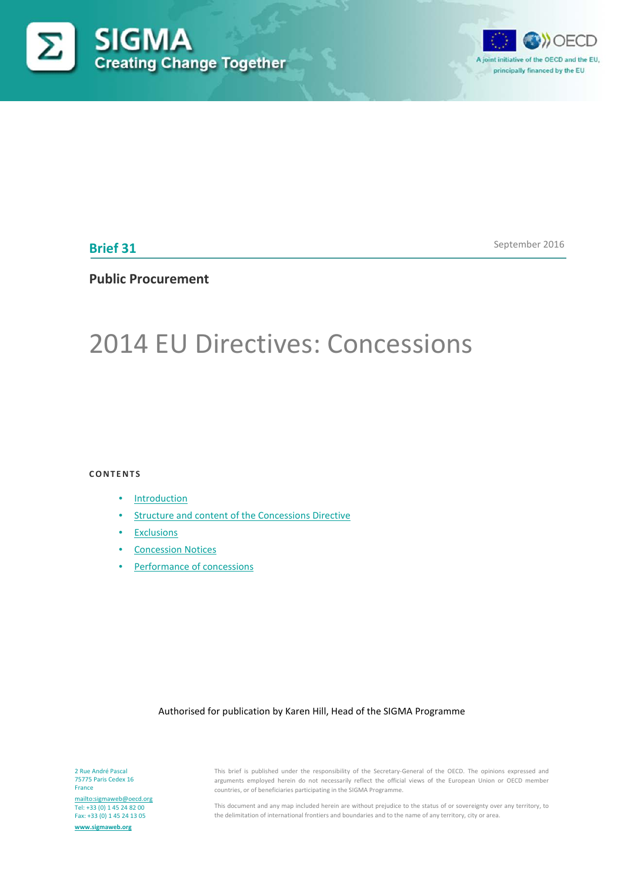



**Brief 31**

September 2016

# **Public Procurement**

# 2014 EU Directives: Concessions

**CONTENTS**

- [Introduction](#page-1-0)
- [Structure and content of the Concessions Directive](#page-2-0)
- [Exclusions](#page-5-0)
- [Concession Notices](#page-8-0)
- [Performance of concessions](#page-9-0)

#### Authorised for publication by Karen Hill, Head of the SIGMA Programme

2 Rue André Pascal 75775 Paris Cedex 16 France

<mailto:sigmaweb@oecd.org> Tel: +33 (0) 1 45 24 82 00 Fax: +33 (0) 1 45 24 13 05 **[www.sigmaweb.org](http://www.sigmaweb.org/)**

This brief is published under the responsibility of the Secretary-General of the OECD. The opinions expressed and arguments employed herein do not necessarily reflect the official views of the European Union or OECD member countries, or of beneficiaries participating in the SIGMA Programme.

This document and any map included herein are without prejudice to the status of or sovereignty over any territory, to the delimitation of international frontiers and boundaries and to the name of any territory, city or area.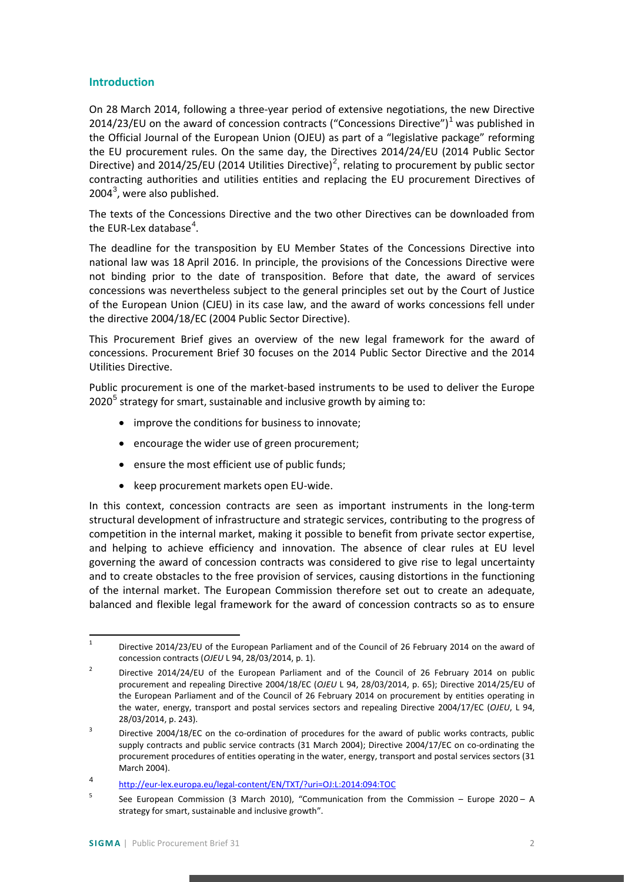## <span id="page-1-0"></span>**Introduction**

On 28 March 2014, following a three-year period of extensive negotiations, the new Directive 20[1](#page-1-1)4/23/EU on the award of concession contracts ("Concessions Directive") $1$  was published in the Official Journal of the European Union (OJEU) as part of a "legislative package" reforming the EU procurement rules. On the same day, the Directives 2014/24/EU (2014 Public Sector Directive) and [2](#page-1-2)014/25/EU (2014 Utilities Directive)<sup>2</sup>, relating to procurement by public sector contracting authorities and utilities entities and replacing the EU procurement Directives of  $2004<sup>3</sup>$  $2004<sup>3</sup>$  $2004<sup>3</sup>$ , were also published.

The texts of the Concessions Directive and the two other Directives can be downloaded from the EUR-Lex database<sup>[4](#page-1-4)</sup>.

The deadline for the transposition by EU Member States of the Concessions Directive into national law was 18 April 2016. In principle, the provisions of the Concessions Directive were not binding prior to the date of transposition. Before that date, the award of services concessions was nevertheless subject to the general principles set out by the Court of Justice of the European Union (CJEU) in its case law, and the award of works concessions fell under the directive 2004/18/EC (2004 Public Sector Directive).

This Procurement Brief gives an overview of the new legal framework for the award of concessions. Procurement Brief 30 focuses on the 2014 Public Sector Directive and the 2014 Utilities Directive.

Public procurement is one of the market-based instruments to be used to deliver the Europe  $2020<sup>5</sup>$  $2020<sup>5</sup>$  $2020<sup>5</sup>$  strategy for smart, sustainable and inclusive growth by aiming to:

- improve the conditions for business to innovate;
- encourage the wider use of green procurement;
- ensure the most efficient use of public funds;
- keep procurement markets open EU-wide.

In this context, concession contracts are seen as important instruments in the long-term structural development of infrastructure and strategic services, contributing to the progress of competition in the internal market, making it possible to benefit from private sector expertise, and helping to achieve efficiency and innovation. The absence of clear rules at EU level governing the award of concession contracts was considered to give rise to legal uncertainty and to create obstacles to the free provision of services, causing distortions in the functioning of the internal market. The European Commission therefore set out to create an adequate, balanced and flexible legal framework for the award of concession contracts so as to ensure

<span id="page-1-1"></span><sup>&</sup>lt;sup>1</sup> Directive 2014/23/EU of the European Parliament and of the Council of 26 February 2014 on the award of concession contracts (*OJEU* L 94, 28/03/2014, p. 1).

<span id="page-1-2"></span><sup>&</sup>lt;sup>2</sup> Directive 2014/24/EU of the European Parliament and of the Council of 26 February 2014 on public procurement and repealing Directive 2004/18/EC (*OJEU* L 94, 28/03/2014, p. 65); Directive 2014/25/EU of the European Parliament and of the Council of 26 February 2014 on procurement by entities operating in the water, energy, transport and postal services sectors and repealing Directive 2004/17/EC (*OJEU*, L 94, 28/03/2014, p. 243).

<span id="page-1-3"></span><sup>&</sup>lt;sup>3</sup> Directive 2004/18/EC on the co-ordination of procedures for the award of public works contracts, public supply contracts and public service contracts (31 March 2004); Directive 2004/17/EC on co-ordinating the procurement procedures of entities operating in the water, energy, transport and postal services sectors (31 March 2004).

<span id="page-1-4"></span><sup>4</sup> <http://eur-lex.europa.eu/legal-content/EN/TXT/?uri=OJ:L:2014:094:TOC>

<span id="page-1-5"></span> $5$  See European Commission (3 March 2010), "Communication from the Commission – Europe 2020 – A strategy for smart, sustainable and inclusive growth".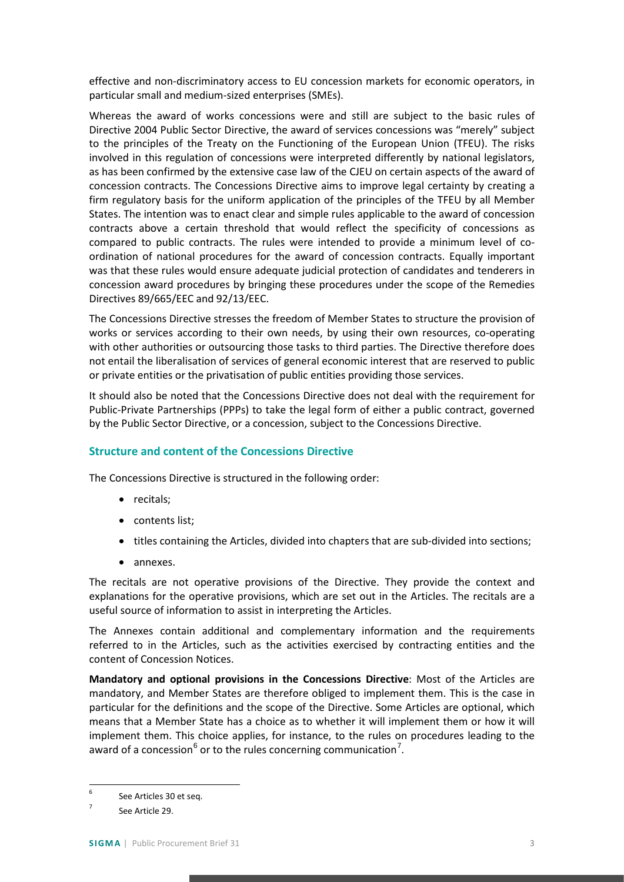effective and non-discriminatory access to EU concession markets for economic operators, in particular small and medium-sized enterprises (SMEs).

Whereas the award of works concessions were and still are subject to the basic rules of Directive 2004 Public Sector Directive, the award of services concessions was "merely" subject to the principles of the Treaty on the Functioning of the European Union (TFEU). The risks involved in this regulation of concessions were interpreted differently by national legislators, as has been confirmed by the extensive case law of the CJEU on certain aspects of the award of concession contracts. The Concessions Directive aims to improve legal certainty by creating a firm regulatory basis for the uniform application of the principles of the TFEU by all Member States. The intention was to enact clear and simple rules applicable to the award of concession contracts above a certain threshold that would reflect the specificity of concessions as compared to public contracts. The rules were intended to provide a minimum level of coordination of national procedures for the award of concession contracts. Equally important was that these rules would ensure adequate judicial protection of candidates and tenderers in concession award procedures by bringing these procedures under the scope of the Remedies Directives 89/665/EEC and 92/13/EEC.

The Concessions Directive stresses the freedom of Member States to structure the provision of works or services according to their own needs, by using their own resources, co-operating with other authorities or outsourcing those tasks to third parties. The Directive therefore does not entail the liberalisation of services of general economic interest that are reserved to public or private entities or the privatisation of public entities providing those services.

It should also be noted that the Concessions Directive does not deal with the requirement for Public-Private Partnerships (PPPs) to take the legal form of either a public contract, governed by the Public Sector Directive, or a concession, subject to the Concessions Directive.

## <span id="page-2-0"></span>**Structure and content of the Concessions Directive**

The Concessions Directive is structured in the following order:

- recitals;
- contents list;
- titles containing the Articles, divided into chapters that are sub-divided into sections;
- annexes.

The recitals are not operative provisions of the Directive. They provide the context and explanations for the operative provisions, which are set out in the Articles. The recitals are a useful source of information to assist in interpreting the Articles.

The Annexes contain additional and complementary information and the requirements referred to in the Articles, such as the activities exercised by contracting entities and the content of Concession Notices.

**Mandatory and optional provisions in the Concessions Directive**: Most of the Articles are mandatory, and Member States are therefore obliged to implement them. This is the case in particular for the definitions and the scope of the Directive. Some Articles are optional, which means that a Member State has a choice as to whether it will implement them or how it will implement them. This choice applies, for instance, to the rules on procedures leading to the award of a concession<sup>[6](#page-2-1)</sup> or to the rules concerning communication<sup>[7](#page-2-2)</sup>.

<span id="page-2-1"></span> <sup>6</sup> See Articles 30 et seq.

<span id="page-2-2"></span><sup>7</sup> See Article 29.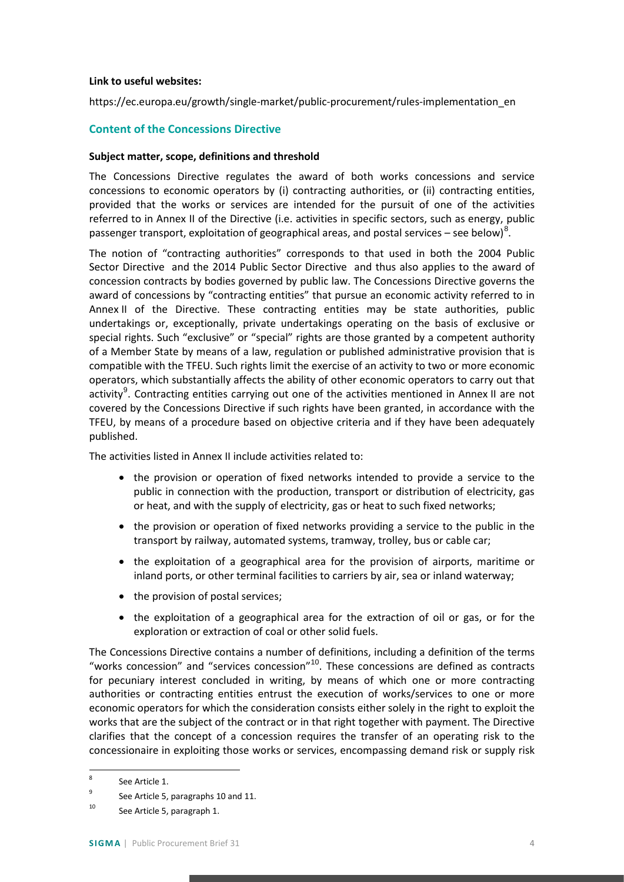#### **Link to useful websites:**

https://ec.europa.eu/growth/single-market/public-procurement/rules-implementation\_en

### **Content of the Concessions Directive**

#### **Subject matter, scope, definitions and threshold**

The Concessions Directive regulates the award of both works concessions and service concessions to economic operators by (i) contracting authorities, or (ii) contracting entities, provided that the works or services are intended for the pursuit of one of the activities referred to in Annex II of the Directive (i.e. activities in specific sectors, such as energy, public passenger transport, exploitation of geographical areas, and postal services – see below)<sup>[8](#page-3-0)</sup>.

The notion of "contracting authorities" corresponds to that used in both the 2004 Public Sector Directive and the 2014 Public Sector Directive and thus also applies to the award of concession contracts by bodies governed by public law. The Concessions Directive governs the award of concessions by "contracting entities" that pursue an economic activity referred to in Annex II of the Directive. These contracting entities may be state authorities, public undertakings or, exceptionally, private undertakings operating on the basis of exclusive or special rights. Such "exclusive" or "special" rights are those granted by a competent authority of a Member State by means of a law, regulation or published administrative provision that is compatible with the TFEU. Such rights limit the exercise of an activity to two or more economic operators, which substantially affects the ability of other economic operators to carry out that activity<sup>[9](#page-3-1)</sup>. Contracting entities carrying out one of the activities mentioned in Annex II are not covered by the Concessions Directive if such rights have been granted, in accordance with the TFEU, by means of a procedure based on objective criteria and if they have been adequately published.

The activities listed in Annex II include activities related to:

- the provision or operation of fixed networks intended to provide a service to the public in connection with the production, transport or distribution of electricity, gas or heat, and with the supply of electricity, gas or heat to such fixed networks;
- the provision or operation of fixed networks providing a service to the public in the transport by railway, automated systems, tramway, trolley, bus or cable car;
- the exploitation of a geographical area for the provision of airports, maritime or inland ports, or other terminal facilities to carriers by air, sea or inland waterway;
- the provision of postal services:
- the exploitation of a geographical area for the extraction of oil or gas, or for the exploration or extraction of coal or other solid fuels.

The Concessions Directive contains a number of definitions, including a definition of the terms "works concession" and "services concession"[10](#page-3-2). These concessions are defined as contracts for pecuniary interest concluded in writing, by means of which one or more contracting authorities or contracting entities entrust the execution of works/services to one or more economic operators for which the consideration consists either solely in the right to exploit the works that are the subject of the contract or in that right together with payment. The Directive clarifies that the concept of a concession requires the transfer of an operating risk to the concessionaire in exploiting those works or services, encompassing demand risk or supply risk

<span id="page-3-0"></span><sup>&</sup>lt;sup>8</sup> See Article 1.

<span id="page-3-1"></span><sup>&</sup>lt;sup>9</sup> See Article 5, paragraphs 10 and 11.

<span id="page-3-2"></span><sup>10</sup> See Article 5, paragraph 1.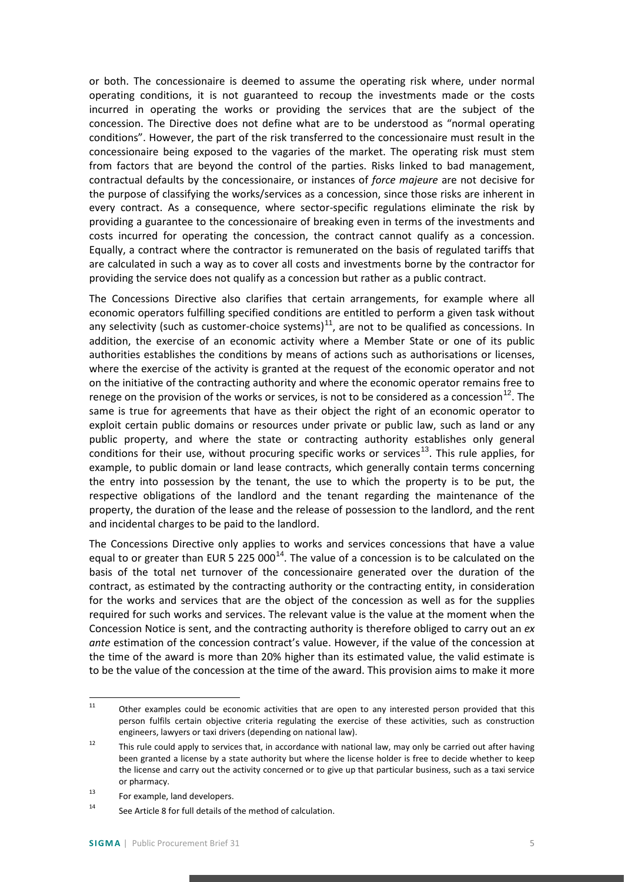or both. The concessionaire is deemed to assume the operating risk where, under normal operating conditions, it is not guaranteed to recoup the investments made or the costs incurred in operating the works or providing the services that are the subject of the concession. The Directive does not define what are to be understood as "normal operating conditions". However, the part of the risk transferred to the concessionaire must result in the concessionaire being exposed to the vagaries of the market. The operating risk must stem from factors that are beyond the control of the parties. Risks linked to bad management, contractual defaults by the concessionaire, or instances of *force majeure* are not decisive for the purpose of classifying the works/services as a concession, since those risks are inherent in every contract. As a consequence, where sector-specific regulations eliminate the risk by providing a guarantee to the concessionaire of breaking even in terms of the investments and costs incurred for operating the concession, the contract cannot qualify as a concession. Equally, a contract where the contractor is remunerated on the basis of regulated tariffs that are calculated in such a way as to cover all costs and investments borne by the contractor for providing the service does not qualify as a concession but rather as a public contract.

The Concessions Directive also clarifies that certain arrangements, for example where all economic operators fulfilling specified conditions are entitled to perform a given task without any selectivity (such as customer-choice systems) $<sup>11</sup>$  $<sup>11</sup>$  $<sup>11</sup>$ , are not to be qualified as concessions. In</sup> addition, the exercise of an economic activity where a Member State or one of its public authorities establishes the conditions by means of actions such as authorisations or licenses, where the exercise of the activity is granted at the request of the economic operator and not on the initiative of the contracting authority and where the economic operator remains free to renege on the provision of the works or services, is not to be considered as a concession<sup>[12](#page-4-1)</sup>. The same is true for agreements that have as their object the right of an economic operator to exploit certain public domains or resources under private or public law, such as land or any public property, and where the state or contracting authority establishes only general conditions for their use, without procuring specific works or services<sup>[13](#page-4-2)</sup>. This rule applies, for example, to public domain or land lease contracts, which generally contain terms concerning the entry into possession by the tenant, the use to which the property is to be put, the respective obligations of the landlord and the tenant regarding the maintenance of the property, the duration of the lease and the release of possession to the landlord, and the rent and incidental charges to be paid to the landlord.

The Concessions Directive only applies to works and services concessions that have a value equal to or greater than EUR 5 225 000<sup>[14](#page-4-3)</sup>. The value of a concession is to be calculated on the basis of the total net turnover of the concessionaire generated over the duration of the contract, as estimated by the contracting authority or the contracting entity, in consideration for the works and services that are the object of the concession as well as for the supplies required for such works and services. The relevant value is the value at the moment when the Concession Notice is sent, and the contracting authority is therefore obliged to carry out an *ex ante* estimation of the concession contract's value. However, if the value of the concession at the time of the award is more than 20% higher than its estimated value, the valid estimate is to be the value of the concession at the time of the award. This provision aims to make it more

<span id="page-4-0"></span><sup>&</sup>lt;sup>11</sup> Other examples could be economic activities that are open to any interested person provided that this person fulfils certain objective criteria regulating the exercise of these activities, such as construction engineers, lawyers or taxi drivers (depending on national law).

<span id="page-4-1"></span><sup>&</sup>lt;sup>12</sup> This rule could apply to services that, in accordance with national law, may only be carried out after having been granted a license by a state authority but where the license holder is free to decide whether to keep the license and carry out the activity concerned or to give up that particular business, such as a taxi service or pharmacy.

<span id="page-4-2"></span><sup>13</sup> For example, land developers.

<span id="page-4-3"></span><sup>14</sup> See Article 8 for full details of the method of calculation.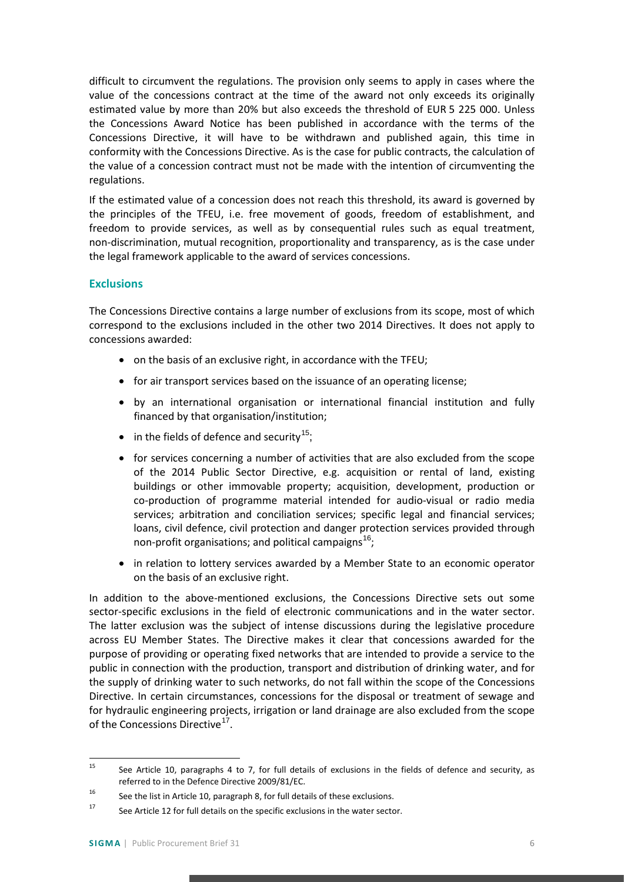difficult to circumvent the regulations. The provision only seems to apply in cases where the value of the concessions contract at the time of the award not only exceeds its originally estimated value by more than 20% but also exceeds the threshold of EUR 5 225 000. Unless the Concessions Award Notice has been published in accordance with the terms of the Concessions Directive, it will have to be withdrawn and published again, this time in conformity with the Concessions Directive. As is the case for public contracts, the calculation of the value of a concession contract must not be made with the intention of circumventing the regulations.

If the estimated value of a concession does not reach this threshold, its award is governed by the principles of the TFEU, i.e. free movement of goods, freedom of establishment, and freedom to provide services, as well as by consequential rules such as equal treatment, non-discrimination, mutual recognition, proportionality and transparency, as is the case under the legal framework applicable to the award of services concessions.

## <span id="page-5-0"></span>**Exclusions**

The Concessions Directive contains a large number of exclusions from its scope, most of which correspond to the exclusions included in the other two 2014 Directives. It does not apply to concessions awarded:

- on the basis of an exclusive right, in accordance with the TFEU;
- for air transport services based on the issuance of an operating license;
- by an international organisation or international financial institution and fully financed by that organisation/institution;
- $\bullet$  in the fields of defence and security<sup>[15](#page-5-1)</sup>;
- for services concerning a number of activities that are also excluded from the scope of the 2014 Public Sector Directive, e.g. acquisition or rental of land, existing buildings or other immovable property; acquisition, development, production or co-production of programme material intended for audio-visual or radio media services; arbitration and conciliation services; specific legal and financial services; loans, civil defence, civil protection and danger protection services provided through non-profit organisations; and political campaigns<sup>[16](#page-5-2)</sup>;
- in relation to lottery services awarded by a Member State to an economic operator on the basis of an exclusive right.

In addition to the above-mentioned exclusions, the Concessions Directive sets out some sector-specific exclusions in the field of electronic communications and in the water sector. The latter exclusion was the subject of intense discussions during the legislative procedure across EU Member States. The Directive makes it clear that concessions awarded for the purpose of providing or operating fixed networks that are intended to provide a service to the public in connection with the production, transport and distribution of drinking water, and for the supply of drinking water to such networks, do not fall within the scope of the Concessions Directive. In certain circumstances, concessions for the disposal or treatment of sewage and for hydraulic engineering projects, irrigation or land drainage are also excluded from the scope of the Concessions Directive<sup>[17](#page-5-3)</sup>.

<span id="page-5-1"></span><sup>&</sup>lt;sup>15</sup> See Article 10, paragraphs 4 to 7, for full details of exclusions in the fields of defence and security, as referred to in the Defence Directive 2009/81/EC.

<span id="page-5-2"></span><sup>&</sup>lt;sup>16</sup> See the list in Article 10, paragraph 8, for full details of these exclusions.

<span id="page-5-3"></span> $17$  See Article 12 for full details on the specific exclusions in the water sector.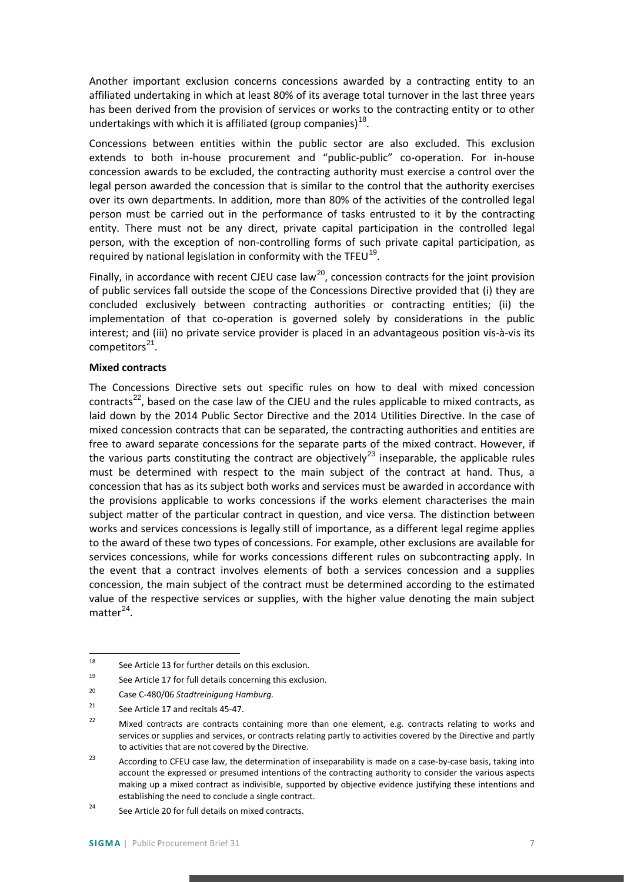Another important exclusion concerns concessions awarded by a contracting entity to an affiliated undertaking in which at least 80% of its average total turnover in the last three years has been derived from the provision of services or works to the contracting entity or to other undertakings with which it is affiliated (group companies)<sup>[18](#page-6-0)</sup>.

Concessions between entities within the public sector are also excluded. This exclusion extends to both in-house procurement and "public-public" co-operation. For in-house concession awards to be excluded, the contracting authority must exercise a control over the legal person awarded the concession that is similar to the control that the authority exercises over its own departments. In addition, more than 80% of the activities of the controlled legal person must be carried out in the performance of tasks entrusted to it by the contracting entity. There must not be any direct, private capital participation in the controlled legal person, with the exception of non-controlling forms of such private capital participation, as required by national legislation in conformity with the TFEU<sup>[19](#page-6-1)</sup>.

Finally, in accordance with recent CJEU case law<sup>[20](#page-6-2)</sup>, concession contracts for the joint provision of public services fall outside the scope of the Concessions Directive provided that (i) they are concluded exclusively between contracting authorities or contracting entities; (ii) the implementation of that co-operation is governed solely by considerations in the public interest; and (iii) no private service provider is placed in an advantageous position vis-à-vis its competitors $^{21}$  $^{21}$  $^{21}$ .

#### **Mixed contracts**

The Concessions Directive sets out specific rules on how to deal with mixed concession contracts<sup>[22](#page-6-4)</sup>, based on the case law of the CJEU and the rules applicable to mixed contracts, as laid down by the 2014 Public Sector Directive and the 2014 Utilities Directive. In the case of mixed concession contracts that can be separated, the contracting authorities and entities are free to award separate concessions for the separate parts of the mixed contract. However, if the various parts constituting the contract are objectively<sup>[23](#page-6-5)</sup> inseparable, the applicable rules must be determined with respect to the main subject of the contract at hand. Thus, a concession that has as its subject both works and services must be awarded in accordance with the provisions applicable to works concessions if the works element characterises the main subject matter of the particular contract in question, and vice versa. The distinction between works and services concessions is legally still of importance, as a different legal regime applies to the award of these two types of concessions. For example, other exclusions are available for services concessions, while for works concessions different rules on subcontracting apply. In the event that a contract involves elements of both a services concession and a supplies concession, the main subject of the contract must be determined according to the estimated value of the respective services or supplies, with the higher value denoting the main subject  $matter<sup>24</sup>$  $matter<sup>24</sup>$  $matter<sup>24</sup>$ .

<span id="page-6-0"></span> <sup>18</sup> See Article 13 for further details on this exclusion.

<span id="page-6-1"></span> $19$  See Article 17 for full details concerning this exclusion.

<span id="page-6-2"></span><sup>20</sup> Case C-480/06 *Stadtreinigung Hamburg.*

<span id="page-6-3"></span><sup>&</sup>lt;sup>21</sup> See Article 17 and recitals  $45-47$ .

<span id="page-6-4"></span><sup>&</sup>lt;sup>22</sup> Mixed contracts are contracts containing more than one element, e.g. contracts relating to works and services or supplies and services, or contracts relating partly to activities covered by the Directive and partly to activities that are not covered by the Directive.

<span id="page-6-5"></span><sup>&</sup>lt;sup>23</sup> According to CFEU case law, the determination of inseparability is made on a case-by-case basis, taking into account the expressed or presumed intentions of the contracting authority to consider the various aspects making up a mixed contract as indivisible, supported by objective evidence justifying these intentions and establishing the need to conclude a single contract.

<span id="page-6-6"></span><sup>&</sup>lt;sup>24</sup> See Article 20 for full details on mixed contracts.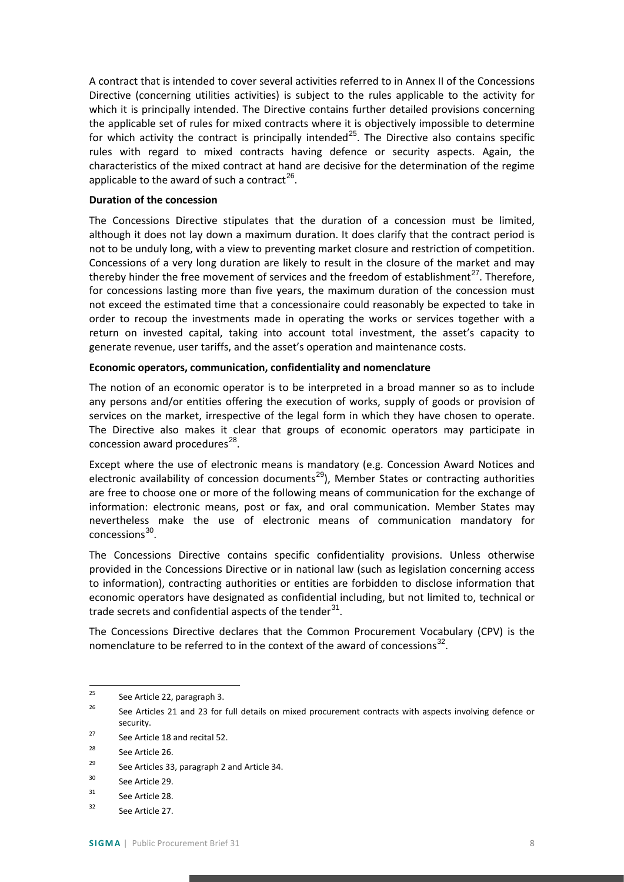A contract that is intended to cover several activities referred to in Annex II of the Concessions Directive (concerning utilities activities) is subject to the rules applicable to the activity for which it is principally intended. The Directive contains further detailed provisions concerning the applicable set of rules for mixed contracts where it is objectively impossible to determine for which activity the contract is principally intended<sup>[25](#page-7-0)</sup>. The Directive also contains specific rules with regard to mixed contracts having defence or security aspects. Again, the characteristics of the mixed contract at hand are decisive for the determination of the regime applicable to the award of such a contract<sup>[26](#page-7-1)</sup>.

#### **Duration of the concession**

The Concessions Directive stipulates that the duration of a concession must be limited, although it does not lay down a maximum duration. It does clarify that the contract period is not to be unduly long, with a view to preventing market closure and restriction of competition. Concessions of a very long duration are likely to result in the closure of the market and may thereby hinder the free movement of services and the freedom of establishment $^{27}$  $^{27}$  $^{27}$ . Therefore, for concessions lasting more than five years, the maximum duration of the concession must not exceed the estimated time that a concessionaire could reasonably be expected to take in order to recoup the investments made in operating the works or services together with a return on invested capital, taking into account total investment, the asset's capacity to generate revenue, user tariffs, and the asset's operation and maintenance costs.

#### **Economic operators, communication, confidentiality and nomenclature**

The notion of an economic operator is to be interpreted in a broad manner so as to include any persons and/or entities offering the execution of works, supply of goods or provision of services on the market, irrespective of the legal form in which they have chosen to operate. The Directive also makes it clear that groups of economic operators may participate in concession award procedures $^{28}$  $^{28}$  $^{28}$ .

Except where the use of electronic means is mandatory (e.g. Concession Award Notices and electronic availability of concession documents<sup>[29](#page-7-4)</sup>), Member States or contracting authorities are free to choose one or more of the following means of communication for the exchange of information: electronic means, post or fax, and oral communication. Member States may nevertheless make the use of electronic means of communication mandatory for concessions<sup>[30](#page-7-5)</sup>.

The Concessions Directive contains specific confidentiality provisions. Unless otherwise provided in the Concessions Directive or in national law (such as legislation concerning access to information), contracting authorities or entities are forbidden to disclose information that economic operators have designated as confidential including, but not limited to, technical or trade secrets and confidential aspects of the tender $31$ .

The Concessions Directive declares that the Common Procurement Vocabulary (CPV) is the nomenclature to be referred to in the context of the award of concessions<sup>[32](#page-7-7)</sup>.

<span id="page-7-0"></span><sup>&</sup>lt;sup>25</sup> See Article 22, paragraph 3.

<span id="page-7-1"></span><sup>&</sup>lt;sup>26</sup> See Articles 21 and 23 for full details on mixed procurement contracts with aspects involving defence or security.

<span id="page-7-2"></span><sup>27</sup> See Article 18 and recital 52.

<span id="page-7-3"></span><sup>&</sup>lt;sup>28</sup> See Article 26.

<span id="page-7-4"></span><sup>&</sup>lt;sup>29</sup> See Articles 33, paragraph 2 and Article 34.

<span id="page-7-5"></span><sup>30</sup> See Article 29.

<span id="page-7-6"></span><sup>31</sup> See Article 28.

<span id="page-7-7"></span><sup>32</sup> See Article 27.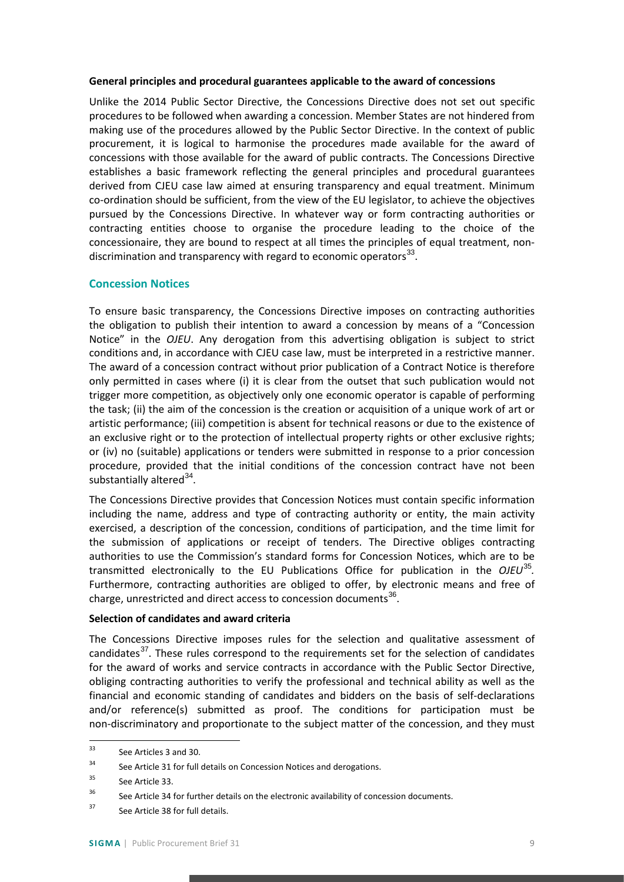#### **General principles and procedural guarantees applicable to the award of concessions**

Unlike the 2014 Public Sector Directive, the Concessions Directive does not set out specific procedures to be followed when awarding a concession. Member States are not hindered from making use of the procedures allowed by the Public Sector Directive. In the context of public procurement, it is logical to harmonise the procedures made available for the award of concessions with those available for the award of public contracts. The Concessions Directive establishes a basic framework reflecting the general principles and procedural guarantees derived from CJEU case law aimed at ensuring transparency and equal treatment. Minimum co-ordination should be sufficient, from the view of the EU legislator, to achieve the objectives pursued by the Concessions Directive. In whatever way or form contracting authorities or contracting entities choose to organise the procedure leading to the choice of the concessionaire, they are bound to respect at all times the principles of equal treatment, nondiscrimination and transparency with regard to economic operators $^{33}$  $^{33}$  $^{33}$ .

#### <span id="page-8-0"></span>**Concession Notices**

To ensure basic transparency, the Concessions Directive imposes on contracting authorities the obligation to publish their intention to award a concession by means of a "Concession Notice" in the *OJEU*. Any derogation from this advertising obligation is subject to strict conditions and, in accordance with CJEU case law, must be interpreted in a restrictive manner. The award of a concession contract without prior publication of a Contract Notice is therefore only permitted in cases where (i) it is clear from the outset that such publication would not trigger more competition, as objectively only one economic operator is capable of performing the task; (ii) the aim of the concession is the creation or acquisition of a unique work of art or artistic performance; (iii) competition is absent for technical reasons or due to the existence of an exclusive right or to the protection of intellectual property rights or other exclusive rights; or (iv) no (suitable) applications or tenders were submitted in response to a prior concession procedure, provided that the initial conditions of the concession contract have not been substantially altered $34$ .

The Concessions Directive provides that Concession Notices must contain specific information including the name, address and type of contracting authority or entity, the main activity exercised, a description of the concession, conditions of participation, and the time limit for the submission of applications or receipt of tenders. The Directive obliges contracting authorities to use the Commission's standard forms for Concession Notices, which are to be transmitted electronically to the EU Publications Office for publication in the *OJEU*[35](#page-8-3)*.* Furthermore, contracting authorities are obliged to offer, by electronic means and free of charge, unrestricted and direct access to concession documents<sup>[36](#page-8-4)</sup>.

#### **Selection of candidates and award criteria**

The Concessions Directive imposes rules for the selection and qualitative assessment of candidates $37$ . These rules correspond to the requirements set for the selection of candidates for the award of works and service contracts in accordance with the Public Sector Directive, obliging contracting authorities to verify the professional and technical ability as well as the financial and economic standing of candidates and bidders on the basis of self-declarations and/or reference(s) submitted as proof. The conditions for participation must be non-discriminatory and proportionate to the subject matter of the concession, and they must

<span id="page-8-1"></span> <sup>33</sup> See Articles 3 and 30.

<span id="page-8-2"></span> $34$  See Article 31 for full details on Concession Notices and derogations.

<span id="page-8-3"></span><sup>35</sup> See Article 33.

<span id="page-8-4"></span> $36$  See Article 34 for further details on the electronic availability of concession documents.

<span id="page-8-5"></span><sup>&</sup>lt;sup>37</sup> See Article 38 for full details.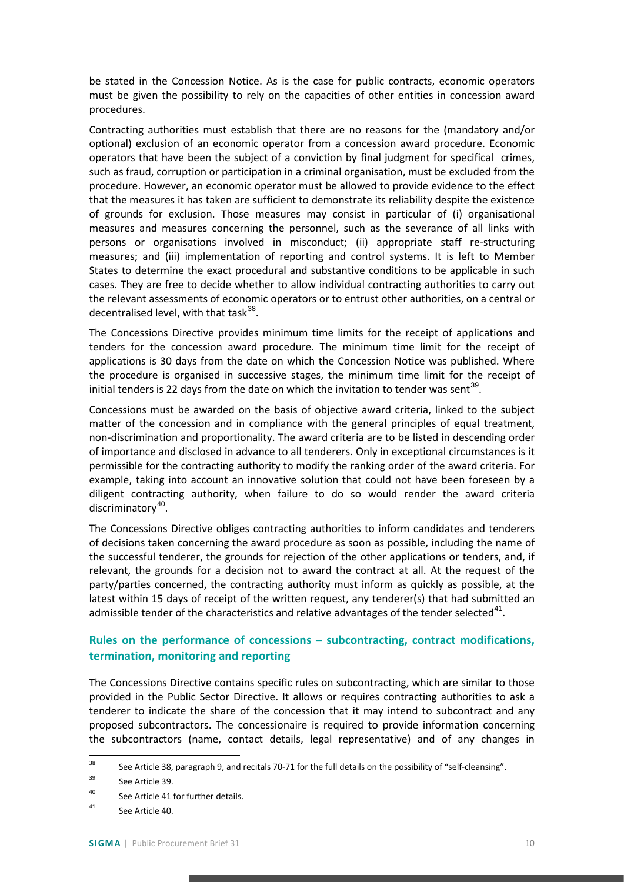be stated in the Concession Notice. As is the case for public contracts, economic operators must be given the possibility to rely on the capacities of other entities in concession award procedures.

Contracting authorities must establish that there are no reasons for the (mandatory and/or optional) exclusion of an economic operator from a concession award procedure. Economic operators that have been the subject of a conviction by final judgment for specifical crimes, such as fraud, corruption or participation in a criminal organisation, must be excluded from the procedure. However, an economic operator must be allowed to provide evidence to the effect that the measures it has taken are sufficient to demonstrate its reliability despite the existence of grounds for exclusion. Those measures may consist in particular of (i) organisational measures and measures concerning the personnel, such as the severance of all links with persons or organisations involved in misconduct; (ii) appropriate staff re-structuring measures; and (iii) implementation of reporting and control systems. It is left to Member States to determine the exact procedural and substantive conditions to be applicable in such cases. They are free to decide whether to allow individual contracting authorities to carry out the relevant assessments of economic operators or to entrust other authorities, on a central or decentralised level, with that task $^{38}$  $^{38}$  $^{38}$ .

The Concessions Directive provides minimum time limits for the receipt of applications and tenders for the concession award procedure. The minimum time limit for the receipt of applications is 30 days from the date on which the Concession Notice was published. Where the procedure is organised in successive stages, the minimum time limit for the receipt of initial tenders is 22 days from the date on which the invitation to tender was sent<sup>[39](#page-9-2)</sup>.

Concessions must be awarded on the basis of objective award criteria, linked to the subject matter of the concession and in compliance with the general principles of equal treatment, non-discrimination and proportionality. The award criteria are to be listed in descending order of importance and disclosed in advance to all tenderers. Only in exceptional circumstances is it permissible for the contracting authority to modify the ranking order of the award criteria. For example, taking into account an innovative solution that could not have been foreseen by a diligent contracting authority, when failure to do so would render the award criteria discriminatory<sup>[40](#page-9-3)</sup>.

The Concessions Directive obliges contracting authorities to inform candidates and tenderers of decisions taken concerning the award procedure as soon as possible, including the name of the successful tenderer, the grounds for rejection of the other applications or tenders, and, if relevant, the grounds for a decision not to award the contract at all. At the request of the party/parties concerned, the contracting authority must inform as quickly as possible, at the latest within 15 days of receipt of the written request, any tenderer(s) that had submitted an admissible tender of the characteristics and relative advantages of the tender selected<sup>[41](#page-9-4)</sup>.

# <span id="page-9-0"></span>**Rules on the performance of concessions – subcontracting, contract modifications, termination, monitoring and reporting**

The Concessions Directive contains specific rules on subcontracting, which are similar to those provided in the Public Sector Directive. It allows or requires contracting authorities to ask a tenderer to indicate the share of the concession that it may intend to subcontract and any proposed subcontractors. The concessionaire is required to provide information concerning the subcontractors (name, contact details, legal representative) and of any changes in

<span id="page-9-1"></span><sup>&</sup>lt;sup>38</sup> See Article 38, paragraph 9, and recitals 70-71 for the full details on the possibility of "self-cleansing".

<span id="page-9-2"></span><sup>&</sup>lt;sup>39</sup> See Article 39.

<span id="page-9-3"></span><sup>40</sup> See Article 41 for further details.

<span id="page-9-4"></span><sup>41</sup> See Article 40.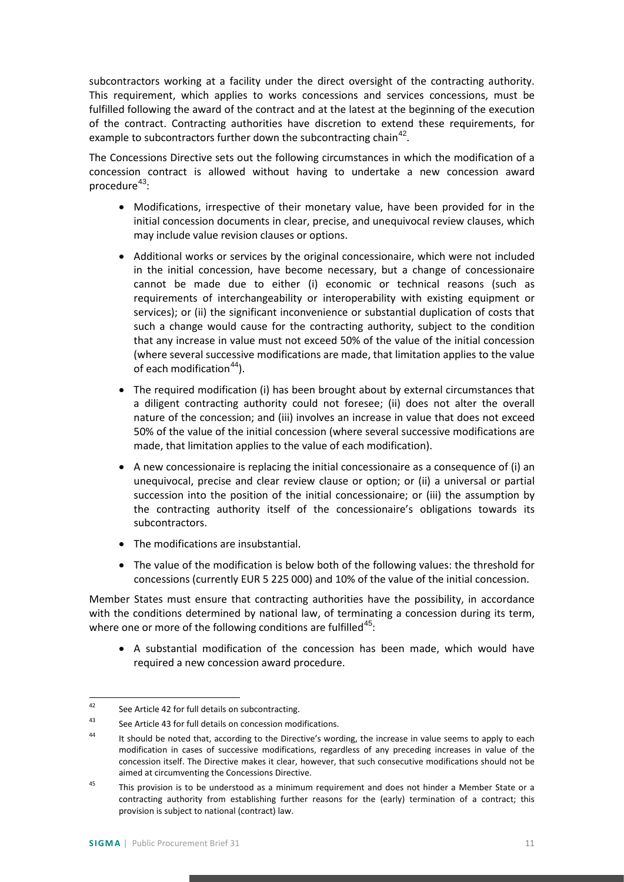subcontractors working at a facility under the direct oversight of the contracting authority. This requirement, which applies to works concessions and services concessions, must be fulfilled following the award of the contract and at the latest at the beginning of the execution of the contract. Contracting authorities have discretion to extend these requirements, for example to subcontractors further down the subcontracting chain<sup>[42](#page-10-0)</sup>.

The Concessions Directive sets out the following circumstances in which the modification of a concession contract is allowed without having to undertake a new concession award procedure<sup>[43](#page-10-1)</sup>:

- Modifications, irrespective of their monetary value, have been provided for in the initial concession documents in clear, precise, and unequivocal review clauses, which may include value revision clauses or options.
- Additional works or services by the original concessionaire, which were not included in the initial concession, have become necessary, but a change of concessionaire cannot be made due to either (i) economic or technical reasons (such as requirements of interchangeability or interoperability with existing equipment or services); or (ii) the significant inconvenience or substantial duplication of costs that such a change would cause for the contracting authority, subject to the condition that any increase in value must not exceed 50% of the value of the initial concession (where several successive modifications are made, that limitation applies to the value of each modification<sup>[44](#page-10-2)</sup>).
- The required modification (i) has been brought about by external circumstances that a diligent contracting authority could not foresee; (ii) does not alter the overall nature of the concession; and (iii) involves an increase in value that does not exceed 50% of the value of the initial concession (where several successive modifications are made, that limitation applies to the value of each modification).
- A new concessionaire is replacing the initial concessionaire as a consequence of (i) an unequivocal, precise and clear review clause or option; or (ii) a universal or partial succession into the position of the initial concessionaire; or (iii) the assumption by the contracting authority itself of the concessionaire's obligations towards its subcontractors.
- The modifications are insubstantial.
- The value of the modification is below both of the following values: the threshold for concessions (currently EUR 5 225 000) and 10% of the value of the initial concession.

Member States must ensure that contracting authorities have the possibility, in accordance with the conditions determined by national law, of terminating a concession during its term, where one or more of the following conditions are fulfilled<sup>[45](#page-10-3)</sup>:

• A substantial modification of the concession has been made, which would have required a new concession award procedure.

<span id="page-10-0"></span> <sup>42</sup> See Article 42 for full details on subcontracting.

<span id="page-10-1"></span><sup>43</sup> See Article 43 for full details on concession modifications.

<span id="page-10-2"></span><sup>&</sup>lt;sup>44</sup> It should be noted that, according to the Directive's wording, the increase in value seems to apply to each modification in cases of successive modifications, regardless of any preceding increases in value of the concession itself. The Directive makes it clear, however, that such consecutive modifications should not be aimed at circumventing the Concessions Directive.

<span id="page-10-3"></span><sup>&</sup>lt;sup>45</sup> This provision is to be understood as a minimum requirement and does not hinder a Member State or a contracting authority from establishing further reasons for the (early) termination of a contract; this provision is subject to national (contract) law.